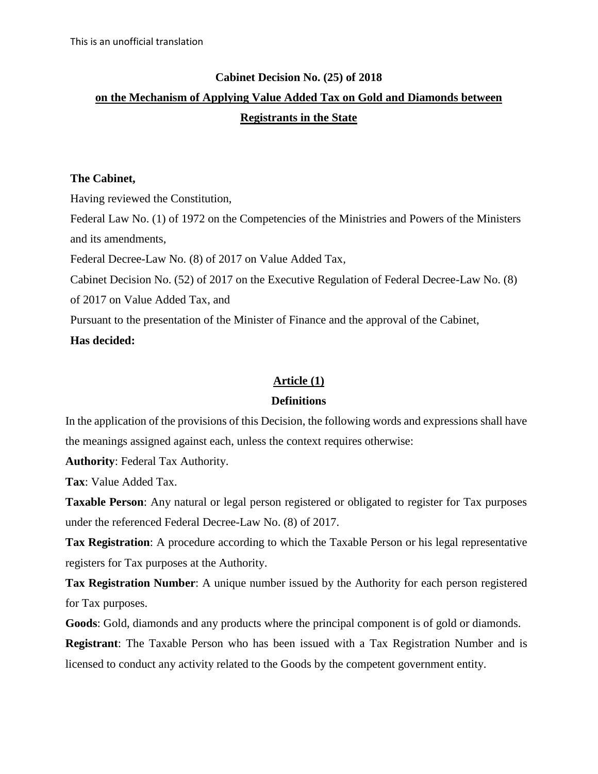#### **Cabinet Decision No. (25) of 2018**

# **on the Mechanism of Applying Value Added Tax on Gold and Diamonds between Registrants in the State**

#### **The Cabinet,**

Having reviewed the Constitution,

Federal Law No. (1) of 1972 on the Competencies of the Ministries and Powers of the Ministers and its amendments,

Federal Decree-Law No. (8) of 2017 on Value Added Tax,

Cabinet Decision No. (52) of 2017 on the Executive Regulation of Federal Decree-Law No. (8)

of 2017 on Value Added Tax, and

Pursuant to the presentation of the Minister of Finance and the approval of the Cabinet,

## **Has decided:**

## **Article (1)**

## **Definitions**

In the application of the provisions of this Decision, the following words and expressions shall have the meanings assigned against each, unless the context requires otherwise:

**Authority**: Federal Tax Authority.

**Tax**: Value Added Tax.

**Taxable Person**: Any natural or legal person registered or obligated to register for Tax purposes under the referenced Federal Decree-Law No. (8) of 2017.

**Tax Registration**: A procedure according to which the Taxable Person or his legal representative registers for Tax purposes at the Authority.

**Tax Registration Number**: A unique number issued by the Authority for each person registered for Tax purposes.

**Goods**: Gold, diamonds and any products where the principal component is of gold or diamonds.

**Registrant**: The Taxable Person who has been issued with a Tax Registration Number and is licensed to conduct any activity related to the Goods by the competent government entity.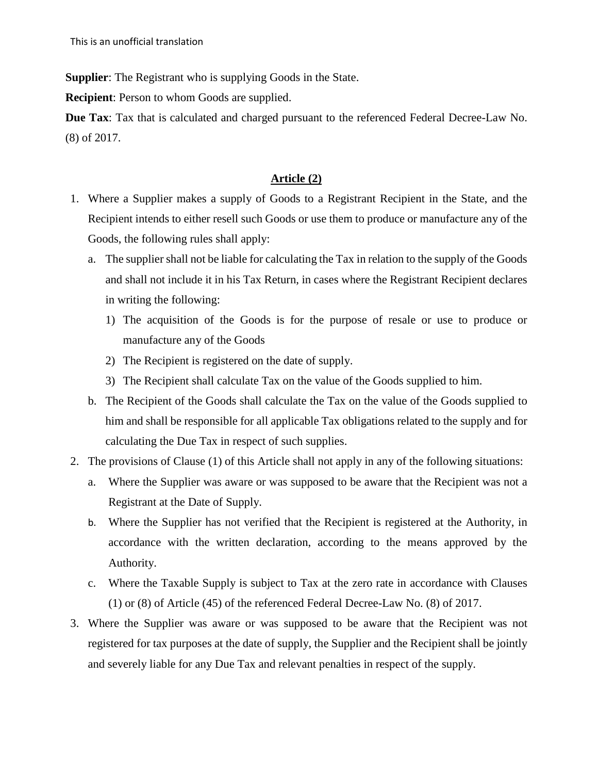**Supplier**: The Registrant who is supplying Goods in the State.

**Recipient**: Person to whom Goods are supplied.

**Due Tax**: Tax that is calculated and charged pursuant to the referenced Federal Decree-Law No. (8) of 2017.

## **Article (2)**

- 1. Where a Supplier makes a supply of Goods to a Registrant Recipient in the State, and the Recipient intends to either resell such Goods or use them to produce or manufacture any of the Goods, the following rules shall apply:
	- a. The supplier shall not be liable for calculating the Tax in relation to the supply of the Goods and shall not include it in his Tax Return, in cases where the Registrant Recipient declares in writing the following:
		- 1) The acquisition of the Goods is for the purpose of resale or use to produce or manufacture any of the Goods
		- 2) The Recipient is registered on the date of supply.
		- 3) The Recipient shall calculate Tax on the value of the Goods supplied to him.
	- b. The Recipient of the Goods shall calculate the Tax on the value of the Goods supplied to him and shall be responsible for all applicable Tax obligations related to the supply and for calculating the Due Tax in respect of such supplies.
- 2. The provisions of Clause (1) of this Article shall not apply in any of the following situations:
	- a. Where the Supplier was aware or was supposed to be aware that the Recipient was not a Registrant at the Date of Supply.
	- b. Where the Supplier has not verified that the Recipient is registered at the Authority, in accordance with the written declaration, according to the means approved by the Authority.
	- c. Where the Taxable Supply is subject to Tax at the zero rate in accordance with Clauses (1) or (8) of Article (45) of the referenced Federal Decree-Law No. (8) of 2017.
- 3. Where the Supplier was aware or was supposed to be aware that the Recipient was not registered for tax purposes at the date of supply, the Supplier and the Recipient shall be jointly and severely liable for any Due Tax and relevant penalties in respect of the supply.